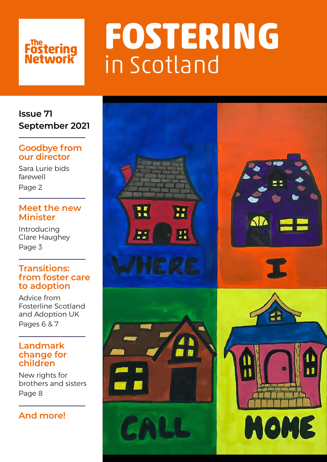# **Fostering<br>Network**

# **FOSTERING**  in Scotland

**Issue 71 September 2021**

### **Goodbye from our director**

Sara Lurie bids farewell Page 2

### **Meet the new Minister**

Introducing Clare Haughey Page 3

#### **Transitions: from foster care to adoption**

Advice from Fosterline Scotland and Adoption UK Pages 6 & 7

#### **Landmark change for children**

New rights for brothers and sisters Page 8

### **And more!**

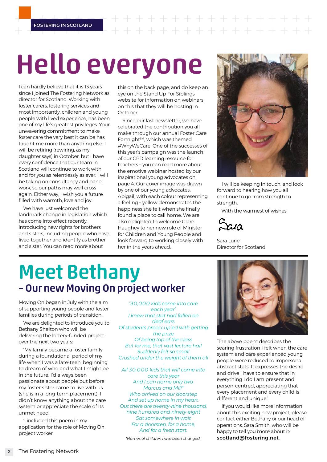$+ + + + + +$ 

## Hello everyone

I can hardly believe that it is 13 years since I joined The Fostering Network as director for Scotland. Working with foster carers, fostering services and most importantly, children and young people with lived experience, has been one of my life's greatest privileges. Your unwavering commitment to make foster care the very best it can be has taught me more than anything else. I will be retiring (rewiring, as my daughter says) in October, but I have every confidence that our team in Scotland will continue to work with and for you as relentlessly as ever. I will be taking on consultancy and panel work, so our paths may well cross again. Either way, I wish you a future filled with warmth, love and joy.

We have just welcomed the landmark change in legislation which has come into effect recently, introducing new rights for brothers and sisters, including people who have lived together and identify as brother and sister. You can read more about

this on the back page, and do keep an eye on the Stand Up For Siblings website for information on webinars on this that they will be hosting in October.

Since our last newsletter, we have celebrated the contribution you all make through our annual Foster Care Fortnight™, which was themed #WhyWeCare. One of the successes of this year's campaign was the launch of our CPD learning resource for teachers – you can read more about the emotive webinar hosted by our inspirational young advocates on page 4. Our cover image was drawn by one of our young advocates, Abigail, with each colour representing a feeling – yellow demonstrates the happiness she felt when she finally found a place to call home. We are also delighted to welcome Clare Haughey to her new role of Minister for Children and Young People and look forward to working closely with her in the years ahead.



I will be keeping in touch, and look forward to hearing how you all continue to go from strength to strength.

With the warmest of wishes

Sara Lurie Director for Scotland

### Meet Bethany – Our new Moving On project worker

Moving On began in July with the aim of supporting young people and foster families during periods of transition.

We are delighted to introduce you to Bethany Shelton who will be delivering the lottery-funded project over the next two years:

'My family became a foster family during a foundational period of my life when I was a late-teen, beginning to dream of who and what I might be in the future. I'd always been passionate about people but before my foster sister came to live with us (she is in a long-term placement), I didn't know anything about the care system or appreciate the scale of its unmet need.

'I included this poem in my application for the role of Moving On project worker:

*"30,000 kids come into care each year" I knew that stat had fallen on deaf ears Of students preoccupied with getting the prize Of being top of the class But for me, that vast lecture hall Suddenly felt so small Crushed under the weight of them all* 

*- All 30,000 kids that will come into care this year And I can name only two, Marcus and Mili\* Who arrived on our doorstep And set up home in my heart. Out there are twenty-nine thousand, nine hundred and ninety-eight Sat somewhere in wait For a doorstep, for a home, And for a fresh start.*

*\*Names of children have been changed.'*



'The above poem describes the searing frustration I felt when the care system and care experienced young people were reduced to impersonal, abstract stats. It expresses the desire and drive I have to ensure that in everything I do I am present and person-centred, appreciating that every placement and every child is different and unique.'

If you would like more information about this exciting new project, please contact either Bethany or our head of operations, Sara Smith, who will be happy to tell you more about it: **[scotland@fostering.net](mailto:scotland%40fostering.net?subject=)**.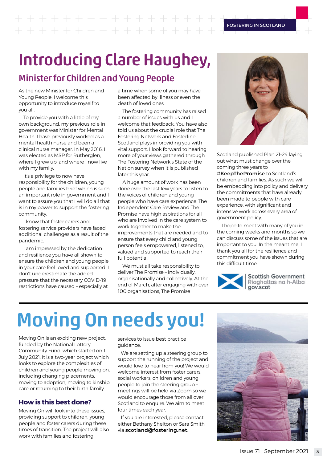## $+ + + + + + + + + + +$

## Introducing Clare Haughey,

### Minister for Children and Young People

As the new Minister for Children and Young People, I welcome this opportunity to introduce myself to you all.

To provide you with a little of my own background, my previous role in government was Minister for Mental Health. I have previously worked as a mental health nurse and been a clinical nurse manager. In May 2016, I was elected as MSP for Rutherglen, where I grew up, and where I now live with my family.

It's a privilege to now have responsibility for the children, young people and families brief which is such an important role in government and I want to assure you that I will do all that is in my power to support the fostering community.

I know that foster carers and fostering service providers have faced additional challenges as a result of the pandemic.

I am impressed by the dedication and resilience you have all shown to ensure the children and young people in your care feel loved and supported. I don't underestimate the added pressure that the necessary COVID-19 restrictions have caused – especially at

a time when some of you may have been affected by illness or even the death of loved ones.

The fostering community has raised a number of issues with us and I welcome that feedback. You have also told us about the crucial role that The Fostering Network and Fosterline Scotland plays in providing you with vital support. I look forward to hearing more of your views gathered through The Fostering Network's State of the Nation survey when it is published later this year.

A huge amount of work has been done over the last few years to listen to the voices of children and young people who have care experience. The Independent Care Review and The Promise have high aspirations for all who are involved in the care system to work together to make the improvements that are needed and to ensure that every child and young person feels empowered, listened to, valued and supported to reach their full potential.

We must all take responsibility to deliver The Promise – individually, organisationally and collectively. At the end of March, after engaging with over 100 organisations, The Promise



Scotland published Plan 21-24 laying out what must change over the coming three years to **#KeepThePromise** to Scotland's children and families. As such we will be embedding into policy and delivery the commitments that have already been made to people with care experience, with significant and intensive work across every area of government policy.

I hope to meet with many of you in the coming weeks and months so we can discuss some of the issues that are important to you. In the meantime, I thank you all for the resilience and commitment you have shown during this difficult time.



**Scottish Government** Riaghaltas na h-Alba gov.scot

## Moving On needs you!

Moving On is an exciting new project, funded by the National Lottery Community Fund, which started on 1 July 2021. It is a two-year project which looks to explore the complexities of children and young people moving on, including changing placements, moving to adoption, moving to kinship care or returning to their birth family.

#### **How is this best done?**

Moving On will look into these issues, providing support to children, young people and foster carers during these times of transition. The project will also work with families and fostering

services to issue best practice guidance.

We are setting up a steering group to support the running of the project and would love to hear from you! We would welcome interest from foster carers, social workers, children and young people to join the steering group – meetings will be held via Zoom so we would encourage those from all over Scotland to enquire. We aim to meet four times each year.

If you are interested, please contact either Bethany Shelton or Sara Smith via **[scotland@fostering.net](mailto:scotland%40fostering.net?subject=)**.

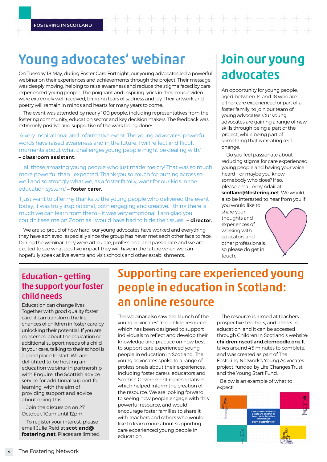## $+ + + + + + +$

### Young advocates' webinar

On Tuesday 18 May, during Foster Care Fortnight, our young advocates led a powerful webinar on their experiences and achievements through the project. Their message was deeply moving, helping to raise awareness and reduce the stigma faced by care experienced young people. The poignant and inspiring lyrics in their music video were extremely well received, bringing tears of sadness and joy. Their artwork and poetry will remain in minds and hearts for many years to come.

The event was attended by nearly 100 people, including representatives from the fostering community, education sector and key decision makers. The feedback was extremely positive and supportive of the work being done:

'A very inspirational and informative event. The young advocates' powerful words have raised awareness and in the future, I will reflect in difficult moments about what challenges young people might be dealing with.'

**– classroom assistant.** 

'… all those amazing young people who just made me cry! That was so much more powerful than I expected. Thank you so much for putting across so well and so strongly what we, as a foster family, want for our kids in the education system.' **– foster carer.**

'I just want to offer my thanks to the young people who delivered the event today, it was truly inspirational, both engaging and creative. I think there is much we can learn from them – it was very emotional. I am glad you couldn't see me on Zoom as I would have had to hide the tissues!' **– director.**

We are so proud of how hard our young advocates have worked and everything they have achieved, especially since the group has never met each other face to face. During the webinar, they were articulate, professional and passionate and we are excited to see what positive impact they will have in the future when we can hopefully speak at live events and visit schools and other establishments.

### Join our young advocates

An opportunity for young people, aged between 14 and 18 who are either care experienced or part of a foster family, to join our team of young advocates. Our young advocates are gaining a range of new skills through being a part of the project, while being part of something that is creating real change.

Do you feel passionate about reducing stigma for care experienced young people and having your voice heard – or maybe you know somebody who does? If so, please email Amy Adair at **[scotland@fostering.net](mailto:scotland%40fostering.net?subject=)**. We would also be interested to hear from you if

you would like to share your thoughts and experiences of working with educators and other professionals, so please do get in touch.

### Education – getting the support your foster child needs

Education can change lives. Together with good quality foster care, it can transform the life chances of children in foster care by unlocking their potential. If you are concerned about the education or additional support needs of a child in your care, talking to their school is a good place to start. We are delighted to be hosting an education webinar in partnership with Enquire: the Scottish advice service for additional support for learning, with the aim of providing support and advice about doing this.

Join the discussion on 27 October, 10am until 12pm.

To register your interest, please email Julie Reid at **[scotland@](mailto:scotland%40fostering.net?subject=) [fostering.net](mailto:scotland%40fostering.net?subject=)**. Places are limited.

### Supporting care experienced young people in education in Scotland: an online resource

The webinar also saw the launch of the young advocates' free online resource, which has been designed to support individuals to reflect and develop their knowledge and practice on how best to support care experienced young people in education in Scotland. The young advocates spoke to a range of professionals about their experiences, including foster carers, educators and Scottish Government representatives, which helped inform the creation of the resource. We are looking forward to seeing how people engage with this powerful resource, and would encourage foster families to share it with teachers and others who would like to learn more about supporting care experienced young people in education.

The resource is aimed at teachers, prospective teachers, and others in education, and it can be accessed through Children in Scotland's website: **[childreninscotland.clcmoodle.org](http://childreninscotland.clcmoodle.org)**. It takes around 45 minutes to complete, and was created as part of The Fostering Network's Young Advocates project, funded by Life Changes Trust and the Young Start Fund.

Below is an example of what to expect:

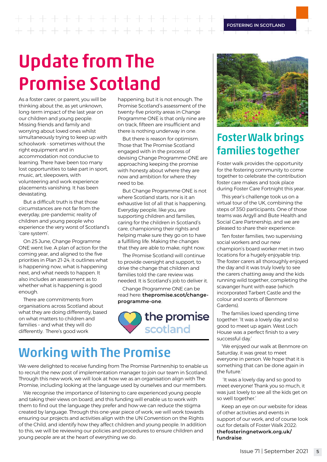## 

## Update from The Promise Scotland

As a foster carer, or parent, you will be thinking about the, as yet unknown, long-term impact of the last year on our children and young people. Missing friends and family and worrying about loved ones whilst simultaneously trying to keep up with schoolwork - sometimes without the right equipment and in accommodation not conducive to learning. There have been too many lost opportunities to take part in sport, music, art, sleepovers, with volunteering and work experience placements vanishing. It has been devastating.

But a difficult truth is that those circumstances are not far from the everyday, pre-pandemic reality of children and young people who experience the very worst of Scotland's 'care system'.

On 25 June, Change Programme ONE went live. A plan of action for the coming year, and aligned to the five priorities in Plan 21-24, it outlines what is happening now, what is happening next, and what needs to happen. It also includes an assessment as to whether what is happening is good enough.

There are commitments from organisations across Scotland about what they are doing differently, based on what matters to children and families – and what they will do differently. There's good work

happening; but it is not enough. The Promise Scotland's assessment of the twenty-five priority areas in Change Programme ONE is that only nine are on track, fifteen are insufficient and there is nothing underway in one.

But there is reason for optimism. Those that The Promise Scotland engaged with in the process of devising Change Programme ONE are approaching keeping the promise with honesty about where they are now and ambition for where they need to be.

But Change Programme ONE is not where Scotland starts, nor is it an exhaustive list of all that is happening. Everyday people, like you, are supporting children and families, caring for the children in Scotland's care, championing their rights and helping make sure they go on to have a fulfilling life. Making the changes that they are able to make, right now.

The Promise Scotland will continue to provide oversight and support, to drive the change that children and families told the care review was needed. It is Scotland's job to deliver it.

Change Programme ONE can be read here: **[thepromise.scot/change](http://thepromise.scot/change-programme-one)[programme-one](http://thepromise.scot/change-programme-one)**.



### Working with The Promise

We were delighted to receive funding from The Promise Partnership to enable us to recruit the new post of implementation manager to join our team in Scotland. Through this new work, we will look at how we as an organisation align with The Promise, including looking at the language used by ourselves and our members.

We recognise the importance of listening to care experienced young people and taking their views on board, and this funding will enable us to work with them to find out the language they prefer and how we can reduce the stigma created by language. Through this one-year piece of work, we will work towards ensuring our projects and activities align with the UN Convention on the Rights of the Child, and identify how they affect children and young people. In addition to this, we will be reviewing our policies and procedures to ensure children and young people are at the heart of everything we do.



### Foster Walk brings families together

Foster walk provides the opportunity for the fostering community to come together to celebrate the contribution foster care makes and took place during Foster Care Fortnight this year.

This year's challenge took us on a virtual tour of the UK, combining the steps of 350 participants. One of those teams was Argyll and Bute Health and Social Care Partnership, and we are pleased to share their experience:

Ten foster families, two supervising social workers and our new champion's board worker met in two locations for a hugely enjoyable trip. The foster carers all thoroughly enjoyed the day and it was truly lovely to see the carers chatting away and the kids running wild together, completing the scavanger hunt with ease (which incorporated Tarbert Castle and the colour and scents of Benmore Gardens).

The families loved spending time together: 'It was a lovely day and so good to meet up again. West Loch House was a perfect finish to a very successful day.'

'We enjoyed our walk at Benmore on Saturday, it was great to meet everyone in person. We hope that it is something that can be done again in the future.'

 'It was a lovely day and so good to meet everyone! Thank you so much, it was just lovely to see all the kids get on so well together.'

Keep an eye on our website for ideas of other activities and events in support of our work, and of course look out for details of Foster Walk 2022: **[thefosteringnetwork.org.uk/](http://thefosteringnetwork.org.uk/fundraise) [fundraise](http://thefosteringnetwork.org.uk/fundraise)**.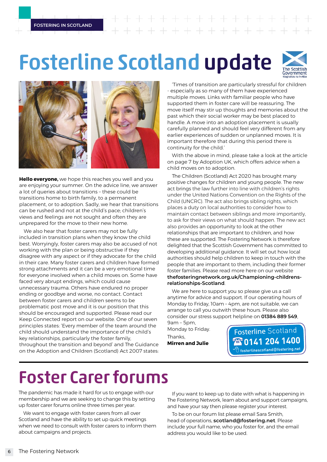## Fosterline Scotland update





**Hello everyone,** we hope this reaches you well and you are enjoying your summer. On the advice line, we answer a lot of queries about transitions – these could be transitions home to birth family, to a permanent placement, or to adoption. Sadly, we hear that transitions can be rushed and not at the child's pace; children's views and feelings are not sought and often they are unprepared for the move to their new home.

We also hear that foster carers may not be fully included in transition plans when they know the child best. Worryingly, foster carers may also be accused of not working with the plan or being obstructive if they disagree with any aspect or if they advocate for the child in their care. Many foster carers and children have formed strong attachments and it can be a very emotional time for everyone involved when a child moves on. Some have faced very abrupt endings, which could cause unnecessary trauma. Others have endured no proper ending or goodbye and worse, no contact. Contact between foster carers and children seems to be problematic post move and it is our position that this should be encouraged and supported. Please read our Keep Connected report on our website. One of our seven principles states: 'Every member of the team around the child should understand the importance of the child's key relationships, particularly the foster family, throughout the transition and beyond' and The Guidance on the Adoption and Children (Scotland) Act 2007 states:

'Times of transition are particularly stressful for children - especially as so many of them have experienced multiple moves. Links with familiar people who have supported them in foster care will be reassuring. The move itself may stir up thoughts and memories about the past which their social worker may be best placed to handle. A move into an adoption placement is usually carefully planned and should feel very different from any earlier experiences of sudden or unplanned moves. It is important therefore that during this period there is continuity for the child.'

With the above in mind, please take a look at the article on page 7 by Adoption UK, which offers advice when a child moves on to adoption.

The Children (Scotland) Act 2020 has brought many positive changes for children and young people. The new act brings the law further into line with children's rights under the United Nations Convention on the Rights of the Child (UNCRC). The act also brings sibling rights, which places a duty on local authorities to consider how to maintain contact between siblings and more importantly, to ask for their views on what should happen. The new act also provides an opportunity to look at the other relationships that are important to children, and how these are supported. The Fostering Network is therefore delighted that the Scottish Government has committed to developing additional guidance. It will set out how local authorities should help children to keep in touch with the people that are important to them, including their former foster families. Please read more here on our website **[thefosteringnetwork.org.uk/Championing-childrens](http://thefosteringnetwork.org.uk/Championing-childrens-relationships-Scotland)[relationships-Scotland](http://thefosteringnetwork.org.uk/Championing-childrens-relationships-Scotland)**.

We are here to support you so please give us a call anytime for advice and support. If our operating hours of Monday to Friday, 10am – 4pm, are not suitable, we can arrange to call you outwith these hours. Please also consider our stress support helpline on **01384 889 549**,

9am – 5pm, Monday to Friday. Thanks,

**Mirren and Julie**

Fosterline Scotland **Tanus 1400**  $\overline{\overline{\mathbb{F}}}$  fosterlinescotland@fostering.net

### Foster Carer forums

The pandemic has made it hard for us to engage with our membership and we are seeking to change this by setting up foster carer forums online three times per year.

We want to engage with foster carers from all over Scotland and have the ability to set up quick meetings when we need to consult with foster carers to inform them about campaigns and projects.

If you want to keep up to date with what is happening in The Fostering Network, learn about and support campaigns, and have your say then please register your interest.

To be on our forum list please email Sara Smith, head of operations, **scotland@fostering.net**. Please include your full name, who you foster for, and the email address you would like to be used.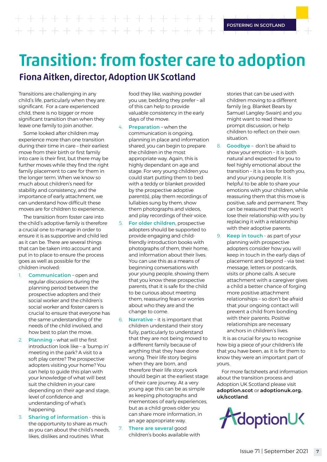+ + + + + + + + + + + + + + + + + + + +

**FOSTERING IN SCOTLAND**

### Transition: from foster care to adoption Fiona Aitken, director, Adoption UK Scotland

Transitions are challenging in any child's life, particularly when they are significant. For a care experienced child, there is no bigger or more significant transition than when they leave one family to join another.

Some looked after children may experience more than one transition during their time in care – their earliest move from their birth or first family into care is their first, but there may be further moves while they find the right family placement to care for them in the longer term. When we know so much about children's need for stability and consistency, and the importance of early attachment, we can understand how difficult these moves are for children to experience.

The transition from foster care into the child's adoptive family is therefore a crucial one to manage in order to ensure it is as supportive and child led as it can be. There are several things that can be taken into account and put in to place to ensure the process goes as well as possible for the children involved:

- 1. **Communication** open and regular discussions during the planning period between the prospective adopters and their social worker and the children's social worker and foster carers is crucial to ensure that everyone has the same understanding of the needs of the child involved, and how best to plan the move.
- 2. **Planning** what will the first introduction look like – a 'bump in' meeting in the park? A visit to a soft play centre? The prospective adopters visiting your home? You can help to guide this plan with your knowledge of what will best suit the children in your care depending on their age and stage, level of confidence and understanding of what's happening.
- **Sharing of information this is** the opportunity to share as much as you can about the child's needs, likes, dislikes and routines. What

food they like, washing powder you use, bedding they prefer – all of this can help to provide valuable consistency in the early days of the move.

- 4. **Preparation** when the communication is ongoing, planning in place and information shared, you can begin to prepare the children in the most appropriate way. Again, this is highly dependant on age and stage. For very young children you could start putting them to bed with a teddy or blanket provided by the prospective adoptive parent(s), play them recordings of lullabies sung by them, show them photographs and videos, and play recordings of their voice.
- 5. **For older children**, prospective adopters should be supported to provide engaging and childfriendly introduction books with photographs of them, their home, and information about their lives. You can use this as a means of beginning conversations with your young people, showing them that you know these prospective parents, that it is safe for the child to be curious about meeting them, reassuring fears or worries about who they are and the change to come.
- 6. **Narrative** it is important that children understand their story fully, particularly to understand that they are not being moved to a different family because of anything that they have done wrong. Their life story begins when they are born, and therefore their life story work should begin at the earliest stage of their care journey. At a very young age this can be as simple as keeping photographs and mementoes of early experiences, but as a child grows older you can share more information, in an age appropriate way.
- 7. **There are several** good children's books available with

stories that can be used with children moving to a different family (e.g. Blanket Bears by Samuel Langley-Swain) and you might want to read these to prompt discussion, or help children to reflect on their own situation.

8. **Goodbye** – don't be afraid to show your emotion – it is both natural and expected for you to feel highly emotional about the transition – it is a loss for both you, and your young people. It is helpful to be able to share your emotions with your children, while reassuring them that this move is positive, safe and permanent. They can be reassured that they won't lose their relationship with you by replacing it with a relationship with their adoptive parents.

9. **Keep in touch** - as part of your planning with prospective adopters consider how you will keep in touch in the early days of placement and beyond – via text message, letters or postcards, visits or phone calls. A secure attachment with a caregiver gives a child a better chance of forging more positive attachment relationships – so don't be afraid that your ongoing contact will prevent a child from bonding with their parents. Positive relationships are necessary anchors in children's lives.

 It is as crucial for you to recognise how big a piece of your children's life that you have been, as it is for them to know they were an important part of yours.

For more factsheets and information about the transition process and Adoption UK Scotland please visit **[adoption.scot](http://adoption.scot)** or **[adoptionuk.org.](http://adoptionuk.org.uk/scotland) [uk/scotland](http://adoptionuk.org.uk/scotland)**.